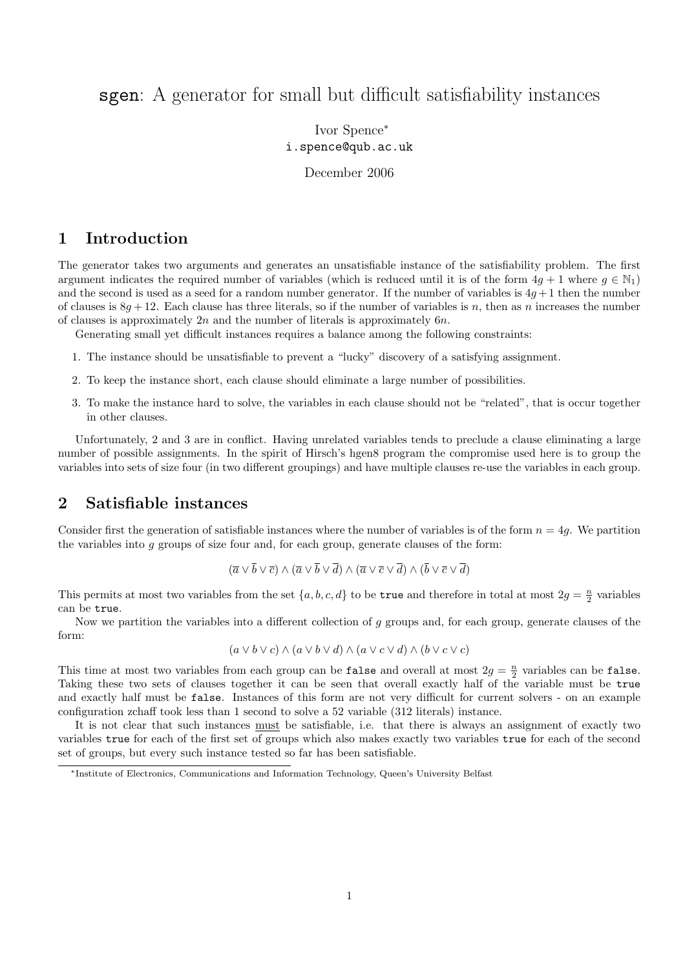# sgen: A generator for small but difficult satisfiability instances

Ivor Spence<sup>∗</sup> i.spence@qub.ac.uk

December 2006

## 1 Introduction

The generator takes two arguments and generates an unsatisfiable instance of the satisfiability problem. The first argument indicates the required number of variables (which is reduced until it is of the form  $4g + 1$  where  $g \in \mathbb{N}_1$ ) and the second is used as a seed for a random number generator. If the number of variables is  $4g + 1$  then the number of clauses is  $8g + 12$ . Each clause has three literals, so if the number of variables is n, then as n increases the number of clauses is approximately  $2n$  and the number of literals is approximately  $6n$ .

Generating small yet difficult instances requires a balance among the following constraints:

- 1. The instance should be unsatisfiable to prevent a "lucky" discovery of a satisfying assignment.
- 2. To keep the instance short, each clause should eliminate a large number of possibilities.
- 3. To make the instance hard to solve, the variables in each clause should not be "related", that is occur together in other clauses.

Unfortunately, 2 and 3 are in conflict. Having unrelated variables tends to preclude a clause eliminating a large number of possible assignments. In the spirit of Hirsch's hgen8 program the compromise used here is to group the variables into sets of size four (in two different groupings) and have multiple clauses re-use the variables in each group.

## 2 Satisfiable instances

Consider first the generation of satisfiable instances where the number of variables is of the form  $n = 4g$ . We partition the variables into g groups of size four and, for each group, generate clauses of the form:

$$
(\overline{a}\vee\overline{b}\vee\overline{c})\wedge(\overline{a}\vee\overline{b}\vee\overline{d})\wedge(\overline{a}\vee\overline{c}\vee\overline{d})\wedge(\overline{b}\vee\overline{c}\vee\overline{d})
$$

This permits at most two variables from the set  $\{a, b, c, d\}$  to be **true** and therefore in total at most  $2g = \frac{n}{2}$  variables can be true.

Now we partition the variables into a different collection of  $g$  groups and, for each group, generate clauses of the form:

$$
(a \vee b \vee c) \wedge (a \vee b \vee d) \wedge (a \vee c \vee d) \wedge (b \vee c \vee c)
$$

This time at most two variables from each group can be false and overall at most  $2g = \frac{n}{2}$  variables can be false. Taking these two sets of clauses together it can be seen that overall exactly half of the variable must be true and exactly half must be false. Instances of this form are not very difficult for current solvers - on an example configuration zchaff took less than 1 second to solve a 52 variable (312 literals) instance.

It is not clear that such instances must be satisfiable, i.e. that there is always an assignment of exactly two variables true for each of the first set of groups which also makes exactly two variables true for each of the second set of groups, but every such instance tested so far has been satisfiable.

<sup>∗</sup>Institute of Electronics, Communications and Information Technology, Queen's University Belfast